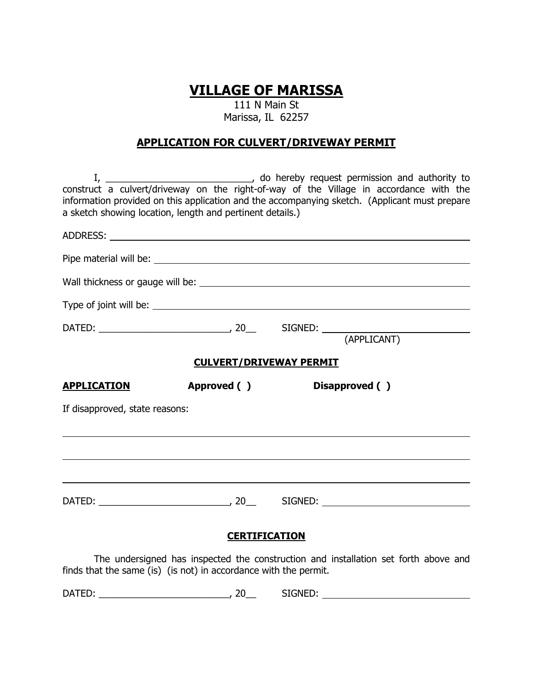## **VILLAGE OF MARISSA**

111 N Main St Marissa, IL 62257

## **APPLICATION FOR CULVERT/DRIVEWAY PERMIT**

| construct a culvert/driveway on the right-of-way of the Village in accordance with the<br>information provided on this application and the accompanying sketch. (Applicant must prepare<br>a sketch showing location, length and pertinent details.) |  |                                |                |
|------------------------------------------------------------------------------------------------------------------------------------------------------------------------------------------------------------------------------------------------------|--|--------------------------------|----------------|
|                                                                                                                                                                                                                                                      |  |                                |                |
|                                                                                                                                                                                                                                                      |  |                                |                |
|                                                                                                                                                                                                                                                      |  |                                |                |
|                                                                                                                                                                                                                                                      |  |                                |                |
|                                                                                                                                                                                                                                                      |  |                                |                |
|                                                                                                                                                                                                                                                      |  | <b>CULVERT/DRIVEWAY PERMIT</b> |                |
| <b>APPLICATION</b><br>Approved ()                                                                                                                                                                                                                    |  |                                | Disapproved () |
| If disapproved, state reasons:                                                                                                                                                                                                                       |  |                                |                |
|                                                                                                                                                                                                                                                      |  |                                |                |
|                                                                                                                                                                                                                                                      |  |                                |                |
|                                                                                                                                                                                                                                                      |  |                                |                |
| <b>CERTIFICATION</b>                                                                                                                                                                                                                                 |  |                                |                |

The undersigned has inspected the construction and installation set forth above and finds that the same (is) (is not) in accordance with the permit.

DATED: \_\_\_\_\_\_\_\_\_\_\_\_\_\_\_\_\_\_\_\_\_\_\_\_\_, 20\_\_ SIGNED: